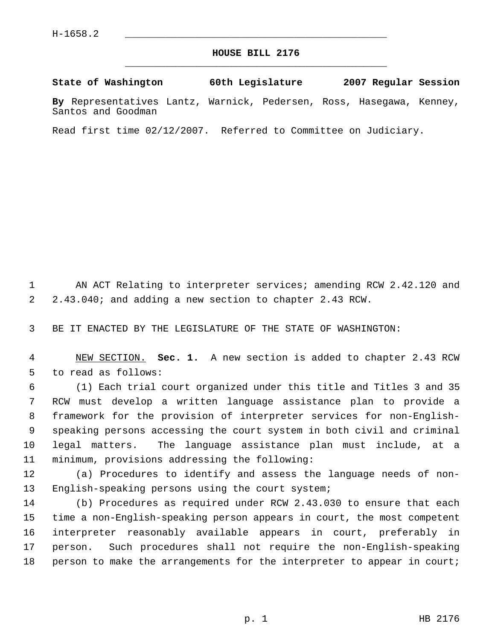## **HOUSE BILL 2176** \_\_\_\_\_\_\_\_\_\_\_\_\_\_\_\_\_\_\_\_\_\_\_\_\_\_\_\_\_\_\_\_\_\_\_\_\_\_\_\_\_\_\_\_\_

**State of Washington 60th Legislature 2007 Regular Session**

**By** Representatives Lantz, Warnick, Pedersen, Ross, Hasegawa, Kenney, Santos and Goodman

Read first time 02/12/2007. Referred to Committee on Judiciary.

1 AN ACT Relating to interpreter services; amending RCW 2.42.120 and 2.43.040; and adding a new section to chapter 2.43 RCW.

BE IT ENACTED BY THE LEGISLATURE OF THE STATE OF WASHINGTON:

 NEW SECTION. **Sec. 1.** A new section is added to chapter 2.43 RCW to read as follows:

 (1) Each trial court organized under this title and Titles 3 and 35 RCW must develop a written language assistance plan to provide a framework for the provision of interpreter services for non-English- speaking persons accessing the court system in both civil and criminal legal matters. The language assistance plan must include, at a minimum, provisions addressing the following:

 (a) Procedures to identify and assess the language needs of non-English-speaking persons using the court system;

 (b) Procedures as required under RCW 2.43.030 to ensure that each time a non-English-speaking person appears in court, the most competent interpreter reasonably available appears in court, preferably in person. Such procedures shall not require the non-English-speaking 18 person to make the arrangements for the interpreter to appear in court;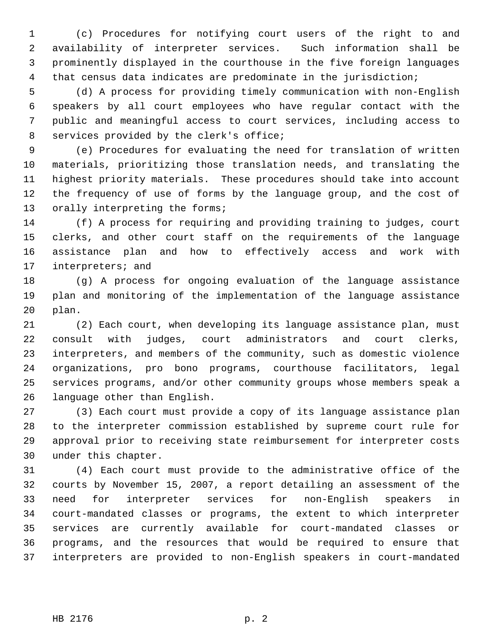(c) Procedures for notifying court users of the right to and availability of interpreter services. Such information shall be prominently displayed in the courthouse in the five foreign languages that census data indicates are predominate in the jurisdiction;

 (d) A process for providing timely communication with non-English speakers by all court employees who have regular contact with the public and meaningful access to court services, including access to services provided by the clerk's office;

 (e) Procedures for evaluating the need for translation of written materials, prioritizing those translation needs, and translating the highest priority materials. These procedures should take into account the frequency of use of forms by the language group, and the cost of 13 orally interpreting the forms;

 (f) A process for requiring and providing training to judges, court clerks, and other court staff on the requirements of the language assistance plan and how to effectively access and work with interpreters; and

 (g) A process for ongoing evaluation of the language assistance plan and monitoring of the implementation of the language assistance plan.

 (2) Each court, when developing its language assistance plan, must consult with judges, court administrators and court clerks, interpreters, and members of the community, such as domestic violence organizations, pro bono programs, courthouse facilitators, legal services programs, and/or other community groups whose members speak a language other than English.

 (3) Each court must provide a copy of its language assistance plan to the interpreter commission established by supreme court rule for approval prior to receiving state reimbursement for interpreter costs under this chapter.

 (4) Each court must provide to the administrative office of the courts by November 15, 2007, a report detailing an assessment of the need for interpreter services for non-English speakers in court-mandated classes or programs, the extent to which interpreter services are currently available for court-mandated classes or programs, and the resources that would be required to ensure that interpreters are provided to non-English speakers in court-mandated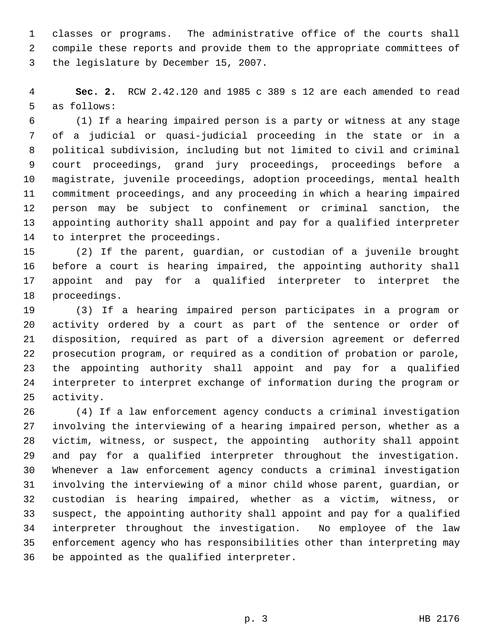classes or programs. The administrative office of the courts shall compile these reports and provide them to the appropriate committees of the legislature by December 15, 2007.

 **Sec. 2.** RCW 2.42.120 and 1985 c 389 s 12 are each amended to read as follows:

 (1) If a hearing impaired person is a party or witness at any stage of a judicial or quasi-judicial proceeding in the state or in a political subdivision, including but not limited to civil and criminal court proceedings, grand jury proceedings, proceedings before a magistrate, juvenile proceedings, adoption proceedings, mental health commitment proceedings, and any proceeding in which a hearing impaired person may be subject to confinement or criminal sanction, the appointing authority shall appoint and pay for a qualified interpreter to interpret the proceedings.

 (2) If the parent, guardian, or custodian of a juvenile brought before a court is hearing impaired, the appointing authority shall appoint and pay for a qualified interpreter to interpret the proceedings.

 (3) If a hearing impaired person participates in a program or activity ordered by a court as part of the sentence or order of disposition, required as part of a diversion agreement or deferred prosecution program, or required as a condition of probation or parole, the appointing authority shall appoint and pay for a qualified interpreter to interpret exchange of information during the program or activity.

 (4) If a law enforcement agency conducts a criminal investigation involving the interviewing of a hearing impaired person, whether as a victim, witness, or suspect, the appointing authority shall appoint and pay for a qualified interpreter throughout the investigation. Whenever a law enforcement agency conducts a criminal investigation involving the interviewing of a minor child whose parent, guardian, or custodian is hearing impaired, whether as a victim, witness, or suspect, the appointing authority shall appoint and pay for a qualified interpreter throughout the investigation. No employee of the law enforcement agency who has responsibilities other than interpreting may be appointed as the qualified interpreter.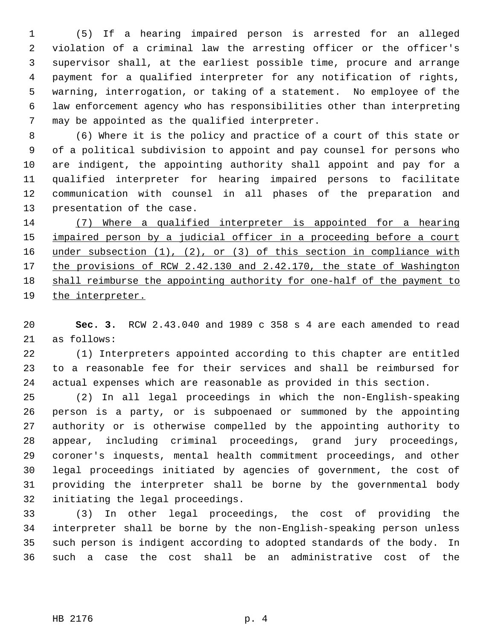(5) If a hearing impaired person is arrested for an alleged violation of a criminal law the arresting officer or the officer's supervisor shall, at the earliest possible time, procure and arrange payment for a qualified interpreter for any notification of rights, warning, interrogation, or taking of a statement. No employee of the law enforcement agency who has responsibilities other than interpreting may be appointed as the qualified interpreter.

 (6) Where it is the policy and practice of a court of this state or of a political subdivision to appoint and pay counsel for persons who are indigent, the appointing authority shall appoint and pay for a qualified interpreter for hearing impaired persons to facilitate communication with counsel in all phases of the preparation and presentation of the case.

 (7) Where a qualified interpreter is appointed for a hearing 15 impaired person by a judicial officer in a proceeding before a court 16 under subsection (1), (2), or (3) of this section in compliance with 17 the provisions of RCW 2.42.130 and 2.42.170, the state of Washington shall reimburse the appointing authority for one-half of the payment to the interpreter.

 **Sec. 3.** RCW 2.43.040 and 1989 c 358 s 4 are each amended to read as follows:

 (1) Interpreters appointed according to this chapter are entitled to a reasonable fee for their services and shall be reimbursed for actual expenses which are reasonable as provided in this section.

 (2) In all legal proceedings in which the non-English-speaking person is a party, or is subpoenaed or summoned by the appointing authority or is otherwise compelled by the appointing authority to appear, including criminal proceedings, grand jury proceedings, coroner's inquests, mental health commitment proceedings, and other legal proceedings initiated by agencies of government, the cost of providing the interpreter shall be borne by the governmental body initiating the legal proceedings.

 (3) In other legal proceedings, the cost of providing the interpreter shall be borne by the non-English-speaking person unless such person is indigent according to adopted standards of the body. In such a case the cost shall be an administrative cost of the